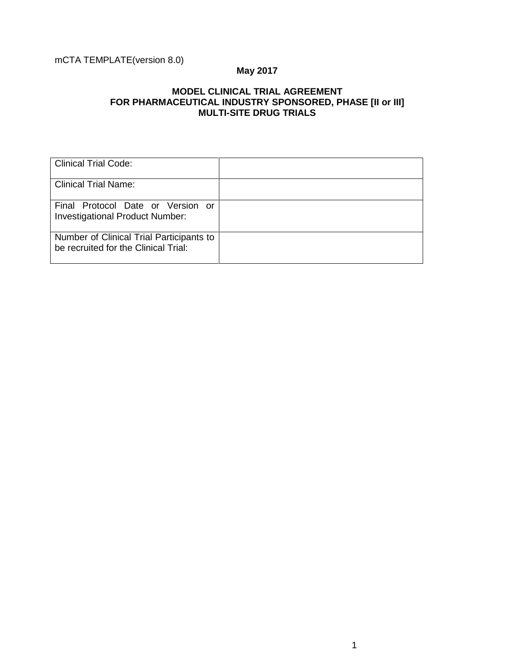# mCTA TEMPLATE(version 8.0)

# **May 2017**

## **MODEL CLINICAL TRIAL AGREEMENT FOR PHARMACEUTICAL INDUSTRY SPONSORED, PHASE [II or III] MULTI-SITE DRUG TRIALS**

| <b>Clinical Trial Code:</b>                                                      |  |
|----------------------------------------------------------------------------------|--|
| <b>Clinical Trial Name:</b>                                                      |  |
| Final Protocol Date or Version or<br><b>Investigational Product Number:</b>      |  |
| Number of Clinical Trial Participants to<br>be recruited for the Clinical Trial: |  |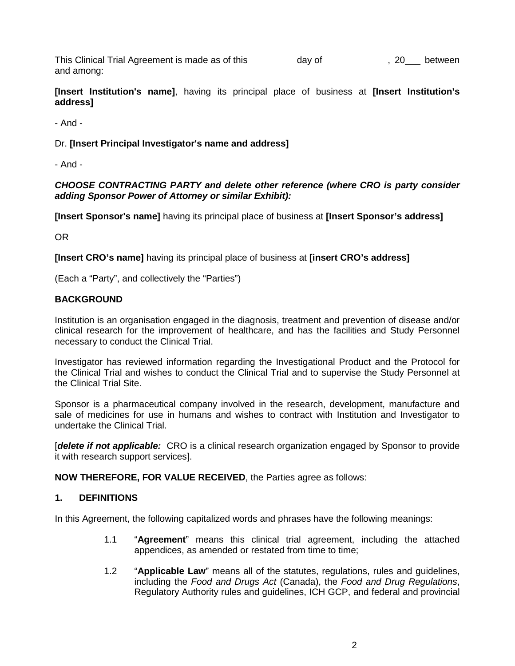This Clinical Trial Agreement is made as of this day of the state of the state of the state of the state of the state of the state of the state of the state of the state of the state of the state of the state of the state and among:

**[Insert Institution's name]**, having its principal place of business at **[Insert Institution's address]**

- And -

#### Dr. **[Insert Principal Investigator's name and address]**

- And -

#### *CHOOSE CONTRACTING PARTY and delete other reference (where CRO is party consider adding Sponsor Power of Attorney or similar Exhibit):*

**[Insert Sponsor's name]** having its principal place of business at **[Insert Sponsor's address]**

OR

**[Insert CRO's name]** having its principal place of business at **[insert CRO's address]**

(Each a "Party", and collectively the "Parties")

#### **BACKGROUND**

Institution is an organisation engaged in the diagnosis, treatment and prevention of disease and/or clinical research for the improvement of healthcare, and has the facilities and Study Personnel necessary to conduct the Clinical Trial.

Investigator has reviewed information regarding the Investigational Product and the Protocol for the Clinical Trial and wishes to conduct the Clinical Trial and to supervise the Study Personnel at the Clinical Trial Site.

Sponsor is a pharmaceutical company involved in the research, development, manufacture and sale of medicines for use in humans and wishes to contract with Institution and Investigator to undertake the Clinical Trial.

[*delete if not applicable:* CRO is a clinical research organization engaged by Sponsor to provide it with research support services].

**NOW THEREFORE, FOR VALUE RECEIVED**, the Parties agree as follows:

#### **1. DEFINITIONS**

In this Agreement, the following capitalized words and phrases have the following meanings:

- 1.1 "**Agreement**" means this clinical trial agreement, including the attached appendices, as amended or restated from time to time;
- 1.2 "**Applicable Law**" means all of the statutes, regulations, rules and guidelines, including the *Food and Drugs Act* (Canada), the *Food and Drug Regulations*, Regulatory Authority rules and guidelines, ICH GCP, and federal and provincial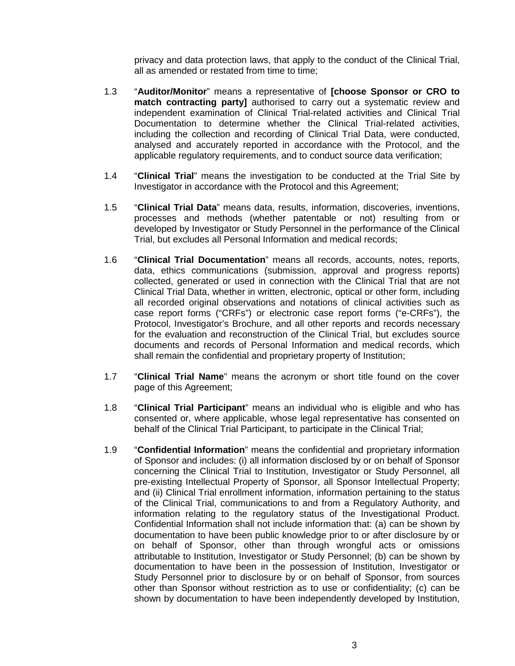privacy and data protection laws, that apply to the conduct of the Clinical Trial, all as amended or restated from time to time;

- 1.3 "**Auditor/Monitor**" means a representative of **[choose Sponsor or CRO to match contracting party]** authorised to carry out a systematic review and independent examination of Clinical Trial-related activities and Clinical Trial Documentation to determine whether the Clinical Trial-related activities, including the collection and recording of Clinical Trial Data, were conducted, analysed and accurately reported in accordance with the Protocol, and the applicable regulatory requirements, and to conduct source data verification;
- 1.4 "**Clinical Trial**" means the investigation to be conducted at the Trial Site by Investigator in accordance with the Protocol and this Agreement;
- 1.5 "**Clinical Trial Data**" means data, results, information, discoveries, inventions, processes and methods (whether patentable or not) resulting from or developed by Investigator or Study Personnel in the performance of the Clinical Trial, but excludes all Personal Information and medical records;
- 1.6 "**Clinical Trial Documentation**" means all records, accounts, notes, reports, data, ethics communications (submission, approval and progress reports) collected, generated or used in connection with the Clinical Trial that are not Clinical Trial Data, whether in written, electronic, optical or other form, including all recorded original observations and notations of clinical activities such as case report forms ("CRFs") or electronic case report forms ("e-CRFs"), the Protocol, Investigator's Brochure, and all other reports and records necessary for the evaluation and reconstruction of the Clinical Trial, but excludes source documents and records of Personal Information and medical records, which shall remain the confidential and proprietary property of Institution;
- 1.7 "**Clinical Trial Name**" means the acronym or short title found on the cover page of this Agreement;
- 1.8 "**Clinical Trial Participant**" means an individual who is eligible and who has consented or, where applicable, whose legal representative has consented on behalf of the Clinical Trial Participant, to participate in the Clinical Trial;
- 1.9 "**Confidential Information**" means the confidential and proprietary information of Sponsor and includes: (i) all information disclosed by or on behalf of Sponsor concerning the Clinical Trial to Institution, Investigator or Study Personnel, all pre-existing Intellectual Property of Sponsor, all Sponsor Intellectual Property; and (ii) Clinical Trial enrollment information, information pertaining to the status of the Clinical Trial, communications to and from a Regulatory Authority, and information relating to the regulatory status of the Investigational Product. Confidential Information shall not include information that: (a) can be shown by documentation to have been public knowledge prior to or after disclosure by or on behalf of Sponsor, other than through wrongful acts or omissions attributable to Institution, Investigator or Study Personnel; (b) can be shown by documentation to have been in the possession of Institution, Investigator or Study Personnel prior to disclosure by or on behalf of Sponsor, from sources other than Sponsor without restriction as to use or confidentiality; (c) can be shown by documentation to have been independently developed by Institution,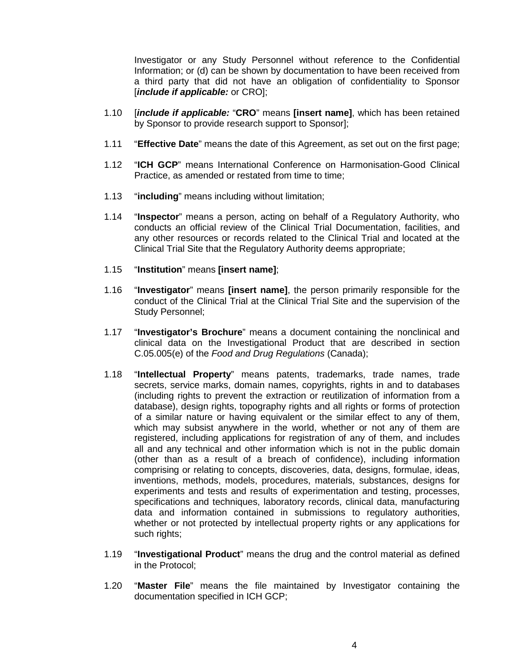Investigator or any Study Personnel without reference to the Confidential Information; or (d) can be shown by documentation to have been received from a third party that did not have an obligation of confidentiality to Sponsor [*include if applicable:* or CRO];

- 1.10 [*include if applicable:* "**CRO**" means **[insert name]**, which has been retained by Sponsor to provide research support to Sponsor];
- 1.11 "**Effective Date**" means the date of this Agreement, as set out on the first page;
- 1.12 "**ICH GCP**" means International Conference on Harmonisation-Good Clinical Practice, as amended or restated from time to time;
- 1.13 "**including**" means including without limitation;
- 1.14 "**Inspector**" means a person, acting on behalf of a Regulatory Authority, who conducts an official review of the Clinical Trial Documentation, facilities, and any other resources or records related to the Clinical Trial and located at the Clinical Trial Site that the Regulatory Authority deems appropriate;
- 1.15 "**Institution**" means **[insert name]**;
- 1.16 "**Investigator**" means **[insert name]**, the person primarily responsible for the conduct of the Clinical Trial at the Clinical Trial Site and the supervision of the Study Personnel;
- 1.17 "**Investigator's Brochure**" means a document containing the nonclinical and clinical data on the Investigational Product that are described in section C.05.005(e) of the *Food and Drug Regulations* (Canada);
- 1.18 "**Intellectual Property**" means patents, trademarks, trade names, trade secrets, service marks, domain names, copyrights, rights in and to databases (including rights to prevent the extraction or reutilization of information from a database), design rights, topography rights and all rights or forms of protection of a similar nature or having equivalent or the similar effect to any of them, which may subsist anywhere in the world, whether or not any of them are registered, including applications for registration of any of them, and includes all and any technical and other information which is not in the public domain (other than as a result of a breach of confidence), including information comprising or relating to concepts, discoveries, data, designs, formulae, ideas, inventions, methods, models, procedures, materials, substances, designs for experiments and tests and results of experimentation and testing, processes, specifications and techniques, laboratory records, clinical data, manufacturing data and information contained in submissions to regulatory authorities, whether or not protected by intellectual property rights or any applications for such rights;
- 1.19 "**Investigational Product**" means the drug and the control material as defined in the Protocol;
- 1.20 "**Master File**" means the file maintained by Investigator containing the documentation specified in ICH GCP;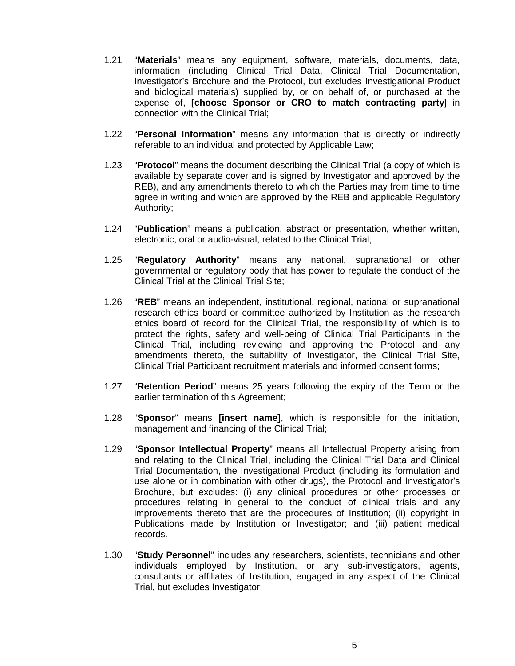- 1.21 "**Materials**" means any equipment, software, materials, documents, data, information (including Clinical Trial Data, Clinical Trial Documentation, Investigator's Brochure and the Protocol, but excludes Investigational Product and biological materials) supplied by, or on behalf of, or purchased at the expense of, **[choose Sponsor or CRO to match contracting party**] in connection with the Clinical Trial;
- 1.22 "**Personal Information**" means any information that is directly or indirectly referable to an individual and protected by Applicable Law;
- 1.23 "**Protocol**" means the document describing the Clinical Trial (a copy of which is available by separate cover and is signed by Investigator and approved by the REB), and any amendments thereto to which the Parties may from time to time agree in writing and which are approved by the REB and applicable Regulatory Authority;
- 1.24 "**Publication**" means a publication, abstract or presentation, whether written, electronic, oral or audio-visual, related to the Clinical Trial;
- 1.25 "**Regulatory Authority**" means any national, supranational or other governmental or regulatory body that has power to regulate the conduct of the Clinical Trial at the Clinical Trial Site;
- 1.26 "**REB**" means an independent, institutional, regional, national or supranational research ethics board or committee authorized by Institution as the research ethics board of record for the Clinical Trial, the responsibility of which is to protect the rights, safety and well-being of Clinical Trial Participants in the Clinical Trial, including reviewing and approving the Protocol and any amendments thereto, the suitability of Investigator, the Clinical Trial Site, Clinical Trial Participant recruitment materials and informed consent forms;
- 1.27 "**Retention Period**" means 25 years following the expiry of the Term or the earlier termination of this Agreement;
- 1.28 "**Sponsor**" means **[insert name]**, which is responsible for the initiation, management and financing of the Clinical Trial;
- 1.29 "**Sponsor Intellectual Property**" means all Intellectual Property arising from and relating to the Clinical Trial, including the Clinical Trial Data and Clinical Trial Documentation, the Investigational Product (including its formulation and use alone or in combination with other drugs), the Protocol and Investigator's Brochure, but excludes: (i) any clinical procedures or other processes or procedures relating in general to the conduct of clinical trials and any improvements thereto that are the procedures of Institution; (ii) copyright in Publications made by Institution or Investigator; and (iii) patient medical records.
- 1.30 "**Study Personnel**" includes any researchers, scientists, technicians and other individuals employed by Institution, or any sub-investigators, agents, consultants or affiliates of Institution, engaged in any aspect of the Clinical Trial, but excludes Investigator;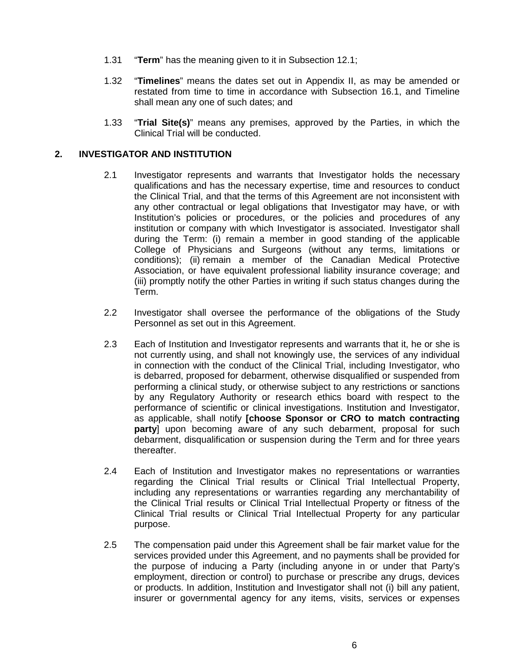- 1.31 "**Term**" has the meaning given to it in Subsection [12.1;](#page-17-0)
- 1.32 "**Timelines**" means the dates set out in Appendix II, as may be amended or restated from time to time in accordance with Subsection [16.1,](#page-20-0) and Timeline shall mean any one of such dates; and
- 1.33 "**Trial Site(s)**" means any premises, approved by the Parties, in which the Clinical Trial will be conducted.

#### **2. INVESTIGATOR AND INSTITUTION**

- 2.1 Investigator represents and warrants that Investigator holds the necessary qualifications and has the necessary expertise, time and resources to conduct the Clinical Trial, and that the terms of this Agreement are not inconsistent with any other contractual or legal obligations that Investigator may have, or with Institution's policies or procedures, or the policies and procedures of any institution or company with which Investigator is associated. Investigator shall during the Term: (i) remain a member in good standing of the applicable College of Physicians and Surgeons (without any terms, limitations or conditions); (ii) remain a member of the Canadian Medical Protective Association, or have equivalent professional liability insurance coverage; and (iii) promptly notify the other Parties in writing if such status changes during the Term.
- 2.2 Investigator shall oversee the performance of the obligations of the Study Personnel as set out in this Agreement.
- 2.3 Each of Institution and Investigator represents and warrants that it, he or she is not currently using, and shall not knowingly use, the services of any individual in connection with the conduct of the Clinical Trial, including Investigator, who is debarred, proposed for debarment, otherwise disqualified or suspended from performing a clinical study, or otherwise subject to any restrictions or sanctions by any Regulatory Authority or research ethics board with respect to the performance of scientific or clinical investigations. Institution and Investigator, as applicable, shall notify **[choose Sponsor or CRO to match contracting party**] upon becoming aware of any such debarment, proposal for such debarment, disqualification or suspension during the Term and for three years thereafter.
- 2.4 Each of Institution and Investigator makes no representations or warranties regarding the Clinical Trial results or Clinical Trial Intellectual Property, including any representations or warranties regarding any merchantability of the Clinical Trial results or Clinical Trial Intellectual Property or fitness of the Clinical Trial results or Clinical Trial Intellectual Property for any particular purpose.
- 2.5 The compensation paid under this Agreement shall be fair market value for the services provided under this Agreement, and no payments shall be provided for the purpose of inducing a Party (including anyone in or under that Party's employment, direction or control) to purchase or prescribe any drugs, devices or products. In addition, Institution and Investigator shall not (i) bill any patient, insurer or governmental agency for any items, visits, services or expenses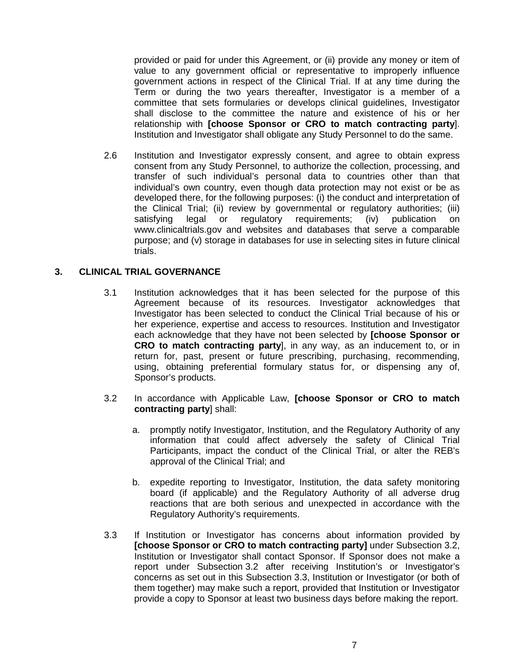provided or paid for under this Agreement, or (ii) provide any money or item of value to any government official or representative to improperly influence government actions in respect of the Clinical Trial. If at any time during the Term or during the two years thereafter, Investigator is a member of a committee that sets formularies or develops clinical guidelines, Investigator shall disclose to the committee the nature and existence of his or her relationship with **[choose Sponsor or CRO to match contracting party**]. Institution and Investigator shall obligate any Study Personnel to do the same.

2.6 Institution and Investigator expressly consent, and agree to obtain express consent from any Study Personnel, to authorize the collection, processing, and transfer of such individual's personal data to countries other than that individual's own country, even though data protection may not exist or be as developed there, for the following purposes: (i) the conduct and interpretation of the Clinical Trial; (ii) review by governmental or regulatory authorities; (iii) satisfying legal or regulatory requirements; (iv) publication on www.clinicaltrials.gov and websites and databases that serve a comparable purpose; and (v) storage in databases for use in selecting sites in future clinical trials.

#### **3. CLINICAL TRIAL GOVERNANCE**

- 3.1 Institution acknowledges that it has been selected for the purpose of this Agreement because of its resources. Investigator acknowledges that Investigator has been selected to conduct the Clinical Trial because of his or her experience, expertise and access to resources. Institution and Investigator each acknowledge that they have not been selected by **[choose Sponsor or CRO to match contracting party**], in any way, as an inducement to, or in return for, past, present or future prescribing, purchasing, recommending, using, obtaining preferential formulary status for, or dispensing any of, Sponsor's products.
- <span id="page-6-0"></span>3.2 In accordance with Applicable Law, **[choose Sponsor or CRO to match contracting party**] shall:
	- a. promptly notify Investigator, Institution, and the Regulatory Authority of any information that could affect adversely the safety of Clinical Trial Participants, impact the conduct of the Clinical Trial, or alter the REB's approval of the Clinical Trial; and
	- b. expedite reporting to Investigator, Institution, the data safety monitoring board (if applicable) and the Regulatory Authority of all adverse drug reactions that are both serious and unexpected in accordance with the Regulatory Authority's requirements.
- <span id="page-6-1"></span>3.3 If Institution or Investigator has concerns about information provided by **[choose Sponsor or CRO to match contracting party]** under Subsection [3.2,](#page-6-0) Institution or Investigator shall contact Sponsor. If Sponsor does not make a report under Subsection [3.2](#page-6-0) after receiving Institution's or Investigator's concerns as set out in this Subsection [3.3,](#page-6-1) Institution or Investigator (or both of them together) may make such a report, provided that Institution or Investigator provide a copy to Sponsor at least two business days before making the report.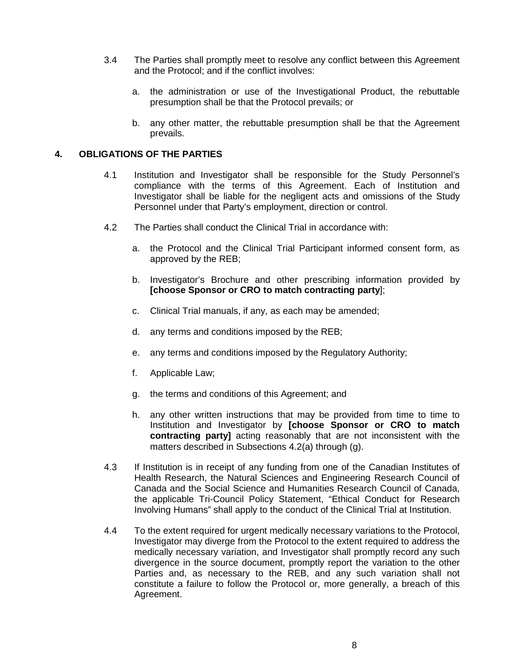- 3.4 The Parties shall promptly meet to resolve any conflict between this Agreement and the Protocol; and if the conflict involves:
	- a. the administration or use of the Investigational Product, the rebuttable presumption shall be that the Protocol prevails; or
	- b. any other matter, the rebuttable presumption shall be that the Agreement prevails.

#### **4. OBLIGATIONS OF THE PARTIES**

- 4.1 Institution and Investigator shall be responsible for the Study Personnel's compliance with the terms of this Agreement. Each of Institution and Investigator shall be liable for the negligent acts and omissions of the Study Personnel under that Party's employment, direction or control.
- <span id="page-7-0"></span>4.2 The Parties shall conduct the Clinical Trial in accordance with:
	- a. the Protocol and the Clinical Trial Participant informed consent form, as approved by the REB;
	- b. Investigator's Brochure and other prescribing information provided by **[choose Sponsor or CRO to match contracting party**];
	- c. Clinical Trial manuals, if any, as each may be amended;
	- d. any terms and conditions imposed by the REB;
	- e. any terms and conditions imposed by the Regulatory Authority;
	- f. Applicable Law;
	- g. the terms and conditions of this Agreement; and
	- h. any other written instructions that may be provided from time to time to Institution and Investigator by **[choose Sponsor or CRO to match contracting party]** acting reasonably that are not inconsistent with the matters described in Subsections [4.2\(](#page-7-0)a) through (g).
- 4.3 If Institution is in receipt of any funding from one of the Canadian Institutes of Health Research, the Natural Sciences and Engineering Research Council of Canada and the Social Science and Humanities Research Council of Canada, the applicable Tri-Council Policy Statement, "Ethical Conduct for Research Involving Humans" shall apply to the conduct of the Clinical Trial at Institution.
- 4.4 To the extent required for urgent medically necessary variations to the Protocol, Investigator may diverge from the Protocol to the extent required to address the medically necessary variation, and Investigator shall promptly record any such divergence in the source document, promptly report the variation to the other Parties and, as necessary to the REB, and any such variation shall not constitute a failure to follow the Protocol or, more generally, a breach of this Agreement.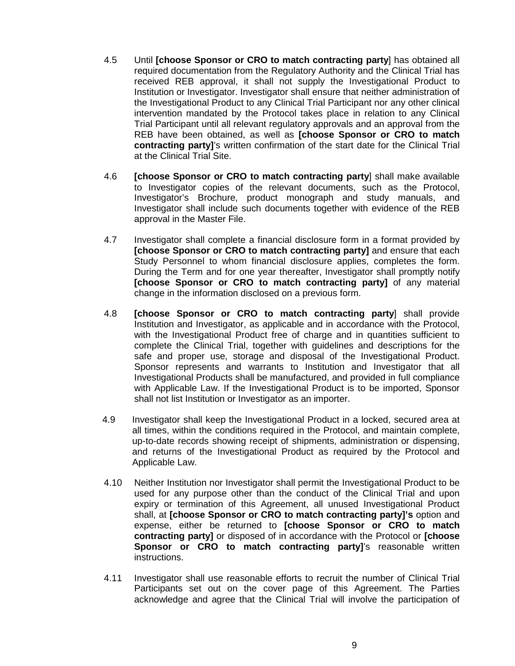- 4.5 Until **[choose Sponsor or CRO to match contracting party**] has obtained all required documentation from the Regulatory Authority and the Clinical Trial has received REB approval, it shall not supply the Investigational Product to Institution or Investigator. Investigator shall ensure that neither administration of the Investigational Product to any Clinical Trial Participant nor any other clinical intervention mandated by the Protocol takes place in relation to any Clinical Trial Participant until all relevant regulatory approvals and an approval from the REB have been obtained, as well as **[choose Sponsor or CRO to match contracting party]**'s written confirmation of the start date for the Clinical Trial at the Clinical Trial Site.
- 4.6 **[choose Sponsor or CRO to match contracting party**] shall make available to Investigator copies of the relevant documents, such as the Protocol, Investigator's Brochure, product monograph and study manuals, and Investigator shall include such documents together with evidence of the REB approval in the Master File.
- 4.7 Investigator shall complete a financial disclosure form in a format provided by **[choose Sponsor or CRO to match contracting party]** and ensure that each Study Personnel to whom financial disclosure applies, completes the form. During the Term and for one year thereafter, Investigator shall promptly notify **[choose Sponsor or CRO to match contracting party]** of any material change in the information disclosed on a previous form.
- 4.8 **[choose Sponsor or CRO to match contracting party**] shall provide Institution and Investigator, as applicable and in accordance with the Protocol, with the Investigational Product free of charge and in quantities sufficient to complete the Clinical Trial, together with guidelines and descriptions for the safe and proper use, storage and disposal of the Investigational Product. Sponsor represents and warrants to Institution and Investigator that all Investigational Products shall be manufactured, and provided in full compliance with Applicable Law. If the Investigational Product is to be imported, Sponsor shall not list Institution or Investigator as an importer.
- 4.9 Investigator shall keep the Investigational Product in a locked, secured area at all times, within the conditions required in the Protocol, and maintain complete, up-to-date records showing receipt of shipments, administration or dispensing, and returns of the Investigational Product as required by the Protocol and Applicable Law.
- 4.10 Neither Institution nor Investigator shall permit the Investigational Product to be used for any purpose other than the conduct of the Clinical Trial and upon expiry or termination of this Agreement, all unused Investigational Product shall, at **[choose Sponsor or CRO to match contracting party]'s** option and expense, either be returned to **[choose Sponsor or CRO to match contracting party]** or disposed of in accordance with the Protocol or **[choose Sponsor or CRO to match contracting party]'s reasonable written** instructions.
- 4.11 Investigator shall use reasonable efforts to recruit the number of Clinical Trial Participants set out on the cover page of this Agreement. The Parties acknowledge and agree that the Clinical Trial will involve the participation of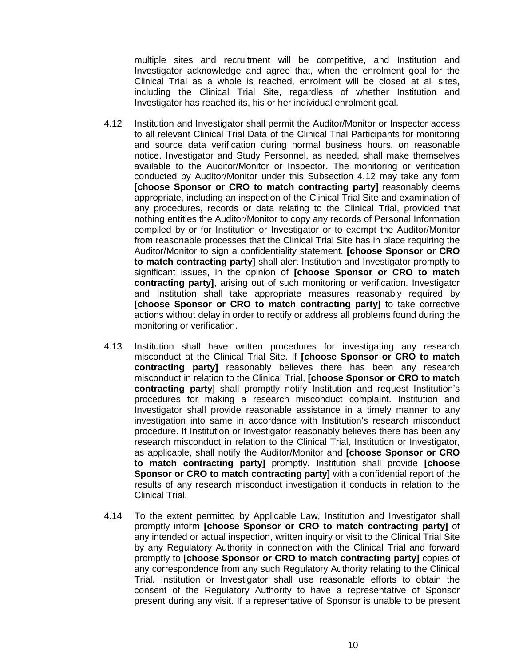multiple sites and recruitment will be competitive, and Institution and Investigator acknowledge and agree that, when the enrolment goal for the Clinical Trial as a whole is reached, enrolment will be closed at all sites, including the Clinical Trial Site, regardless of whether Institution and Investigator has reached its, his or her individual enrolment goal.

- <span id="page-9-0"></span>4.12 Institution and Investigator shall permit the Auditor/Monitor or Inspector access to all relevant Clinical Trial Data of the Clinical Trial Participants for monitoring and source data verification during normal business hours, on reasonable notice. Investigator and Study Personnel, as needed, shall make themselves available to the Auditor/Monitor or Inspector. The monitoring or verification conducted by Auditor/Monitor under this Subsection [4.12](#page-9-0) may take any form **[choose Sponsor or CRO to match contracting party]** reasonably deems appropriate, including an inspection of the Clinical Trial Site and examination of any procedures, records or data relating to the Clinical Trial, provided that nothing entitles the Auditor/Monitor to copy any records of Personal Information compiled by or for Institution or Investigator or to exempt the Auditor/Monitor from reasonable processes that the Clinical Trial Site has in place requiring the Auditor/Monitor to sign a confidentiality statement. **[choose Sponsor or CRO to match contracting party]** shall alert Institution and Investigator promptly to significant issues, in the opinion of **[choose Sponsor or CRO to match contracting party]**, arising out of such monitoring or verification. Investigator and Institution shall take appropriate measures reasonably required by **[choose Sponsor or CRO to match contracting party]** to take corrective actions without delay in order to rectify or address all problems found during the monitoring or verification.
- 4.13 Institution shall have written procedures for investigating any research misconduct at the Clinical Trial Site. If **[choose Sponsor or CRO to match contracting party]** reasonably believes there has been any research misconduct in relation to the Clinical Trial, **[choose Sponsor or CRO to match contracting party**] shall promptly notify Institution and request Institution's procedures for making a research misconduct complaint. Institution and Investigator shall provide reasonable assistance in a timely manner to any investigation into same in accordance with Institution's research misconduct procedure. If Institution or Investigator reasonably believes there has been any research misconduct in relation to the Clinical Trial, Institution or Investigator, as applicable, shall notify the Auditor/Monitor and **[choose Sponsor or CRO to match contracting party]** promptly. Institution shall provide **[choose Sponsor or CRO to match contracting party]** with a confidential report of the results of any research misconduct investigation it conducts in relation to the Clinical Trial.
- 4.14 To the extent permitted by Applicable Law, Institution and Investigator shall promptly inform **[choose Sponsor or CRO to match contracting party]** of any intended or actual inspection, written inquiry or visit to the Clinical Trial Site by any Regulatory Authority in connection with the Clinical Trial and forward promptly to **[choose Sponsor or CRO to match contracting party]** copies of any correspondence from any such Regulatory Authority relating to the Clinical Trial. Institution or Investigator shall use reasonable efforts to obtain the consent of the Regulatory Authority to have a representative of Sponsor present during any visit. If a representative of Sponsor is unable to be present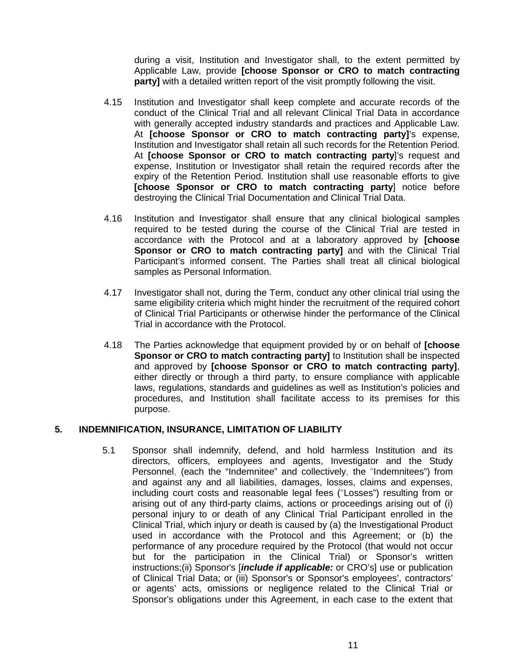during a visit, Institution and Investigator shall, to the extent permitted by Applicable Law, provide **[choose Sponsor or CRO to match contracting party]** with a detailed written report of the visit promptly following the visit.

- 4.15 Institution and Investigator shall keep complete and accurate records of the conduct of the Clinical Trial and all relevant Clinical Trial Data in accordance with generally accepted industry standards and practices and Applicable Law. At **[choose Sponsor or CRO to match contracting party]**'s expense, Institution and Investigator shall retain all such records for the Retention Period. At **[choose Sponsor or CRO to match contracting party**]'s request and expense, Institution or Investigator shall retain the required records after the expiry of the Retention Period. Institution shall use reasonable efforts to give **[choose Sponsor or CRO to match contracting party**] notice before destroying the Clinical Trial Documentation and Clinical Trial Data.
- 4.16 Institution and Investigator shall ensure that any clinical biological samples required to be tested during the course of the Clinical Trial are tested in accordance with the Protocol and at a laboratory approved by **[choose Sponsor or CRO to match contracting party]** and with the Clinical Trial Participant's informed consent. The Parties shall treat all clinical biological samples as Personal Information.
- 4.17 Investigator shall not, during the Term, conduct any other clinical trial using the same eligibility criteria which might hinder the recruitment of the required cohort of Clinical Trial Participants or otherwise hinder the performance of the Clinical Trial in accordance with the Protocol.
- 4.18 The Parties acknowledge that equipment provided by or on behalf of **[choose Sponsor or CRO to match contracting party]** to Institution shall be inspected and approved by **[choose Sponsor or CRO to match contracting party]**, either directly or through a third party, to ensure compliance with applicable laws, regulations, standards and guidelines as well as Institution's policies and procedures, and Institution shall facilitate access to its premises for this purpose.

#### **5. INDEMNIFICATION, INSURANCE, LIMITATION OF LIABILITY**

5.1 Sponsor shall indemnify, defend, and hold harmless Institution and its directors, officers, employees and agents, Investigator and the Study Personnel, (each the "Indemnitee" and collectively, the "Indemnitees") from and against any and all liabilities, damages, losses, claims and expenses, including court costs and reasonable legal fees ("Losses") resulting from or arising out of any third-party claims, actions or proceedings arising out of (i) personal injury to or death of any Clinical Trial Participant enrolled in the Clinical Trial, which injury or death is caused by (a) the Investigational Product used in accordance with the Protocol and this Agreement; or (b) the performance of any procedure required by the Protocol (that would not occur but for the participation in the Clinical Trial) or Sponsor's written instructions;(ii) Sponsor's [*include if applicable:* or CRO's] use or publication of Clinical Trial Data; or (iii) Sponsor's or Sponsor's employees', contractors' or agents' acts, omissions or negligence related to the Clinical Trial or Sponsor's obligations under this Agreement, in each case to the extent that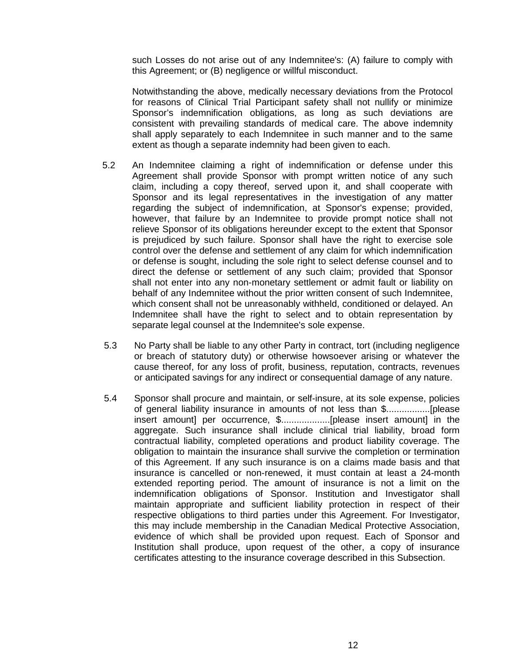such Losses do not arise out of any Indemnitee's: (A) failure to comply with this Agreement; or (B) negligence or willful misconduct.

Notwithstanding the above, medically necessary deviations from the Protocol for reasons of Clinical Trial Participant safety shall not nullify or minimize Sponsor's indemnification obligations, as long as such deviations are consistent with prevailing standards of medical care. The above indemnity shall apply separately to each Indemnitee in such manner and to the same extent as though a separate indemnity had been given to each.

- 5.2 An Indemnitee claiming a right of indemnification or defense under this Agreement shall provide Sponsor with prompt written notice of any such claim, including a copy thereof, served upon it, and shall cooperate with Sponsor and its legal representatives in the investigation of any matter regarding the subject of indemnification, at Sponsor's expense; provided, however, that failure by an Indemnitee to provide prompt notice shall not relieve Sponsor of its obligations hereunder except to the extent that Sponsor is prejudiced by such failure. Sponsor shall have the right to exercise sole control over the defense and settlement of any claim for which indemnification or defense is sought, including the sole right to select defense counsel and to direct the defense or settlement of any such claim; provided that Sponsor shall not enter into any non-monetary settlement or admit fault or liability on behalf of any Indemnitee without the prior written consent of such Indemnitee, which consent shall not be unreasonably withheld, conditioned or delayed. An Indemnitee shall have the right to select and to obtain representation by separate legal counsel at the Indemnitee's sole expense.
- 5.3 No Party shall be liable to any other Party in contract, tort (including negligence or breach of statutory duty) or otherwise howsoever arising or whatever the cause thereof, for any loss of profit, business, reputation, contracts, revenues or anticipated savings for any indirect or consequential damage of any nature.
- 5.4 Sponsor shall procure and maintain, or self-insure, at its sole expense, policies of general liability insurance in amounts of not less than \$.................[please insert amount] per occurrence, \$...................[please insert amount] in the aggregate. Such insurance shall include clinical trial liability, broad form contractual liability, completed operations and product liability coverage. The obligation to maintain the insurance shall survive the completion or termination of this Agreement. If any such insurance is on a claims made basis and that insurance is cancelled or non-renewed, it must contain at least a 24-month extended reporting period. The amount of insurance is not a limit on the indemnification obligations of Sponsor. Institution and Investigator shall maintain appropriate and sufficient liability protection in respect of their respective obligations to third parties under this Agreement. For Investigator, this may include membership in the Canadian Medical Protective Association, evidence of which shall be provided upon request. Each of Sponsor and Institution shall produce, upon request of the other, a copy of insurance certificates attesting to the insurance coverage described in this Subsection.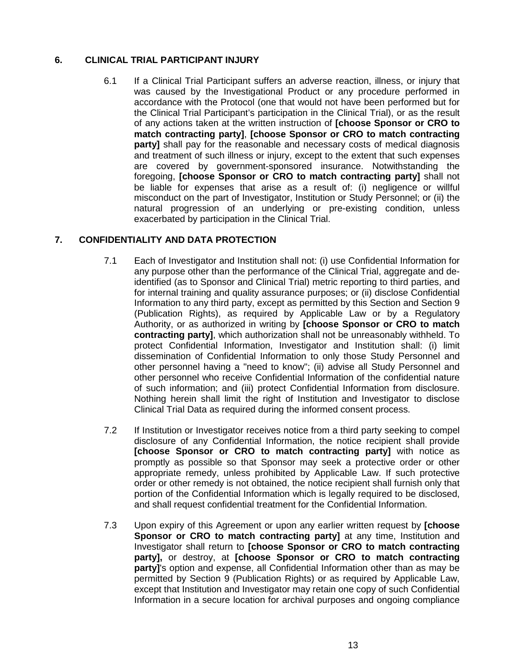## **6. CLINICAL TRIAL PARTICIPANT INJURY**

6.1 If a Clinical Trial Participant suffers an adverse reaction, illness, or injury that was caused by the Investigational Product or any procedure performed in accordance with the Protocol (one that would not have been performed but for the Clinical Trial Participant's participation in the Clinical Trial), or as the result of any actions taken at the written instruction of **[choose Sponsor or CRO to match contracting party]**, **[choose Sponsor or CRO to match contracting party]** shall pay for the reasonable and necessary costs of medical diagnosis and treatment of such illness or injury, except to the extent that such expenses are covered by government-sponsored insurance. Notwithstanding the foregoing, **[choose Sponsor or CRO to match contracting party]** shall not be liable for expenses that arise as a result of: (i) negligence or willful misconduct on the part of Investigator, Institution or Study Personnel; or (ii) the natural progression of an underlying or pre-existing condition, unless exacerbated by participation in the Clinical Trial.

## <span id="page-12-0"></span>**7. CONFIDENTIALITY AND DATA PROTECTION**

- 7.1 Each of Investigator and Institution shall not: (i) use Confidential Information for any purpose other than the performance of the Clinical Trial, aggregate and deidentified (as to Sponsor and Clinical Trial) metric reporting to third parties, and for internal training and quality assurance purposes; or (ii) disclose Confidential Information to any third party, except as permitted by this Section and Section 9 (Publication Rights), as required by Applicable Law or by a Regulatory Authority, or as authorized in writing by **[choose Sponsor or CRO to match contracting party]**, which authorization shall not be unreasonably withheld. To protect Confidential Information, Investigator and Institution shall: (i) limit dissemination of Confidential Information to only those Study Personnel and other personnel having a "need to know"; (ii) advise all Study Personnel and other personnel who receive Confidential Information of the confidential nature of such information; and (iii) protect Confidential Information from disclosure. Nothing herein shall limit the right of Institution and Investigator to disclose Clinical Trial Data as required during the informed consent process.
- 7.2 If Institution or Investigator receives notice from a third party seeking to compel disclosure of any Confidential Information, the notice recipient shall provide **[choose Sponsor or CRO to match contracting party]** with notice as promptly as possible so that Sponsor may seek a protective order or other appropriate remedy, unless prohibited by Applicable Law. If such protective order or other remedy is not obtained, the notice recipient shall furnish only that portion of the Confidential Information which is legally required to be disclosed, and shall request confidential treatment for the Confidential Information.
- 7.3 Upon expiry of this Agreement or upon any earlier written request by **[choose Sponsor or CRO to match contracting party]** at any time, Institution and Investigator shall return to **[choose Sponsor or CRO to match contracting party],** or destroy, at **[choose Sponsor or CRO to match contracting party]**'s option and expense, all Confidential Information other than as may be permitted by Section 9 (Publication Rights) or as required by Applicable Law, except that Institution and Investigator may retain one copy of such Confidential Information in a secure location for archival purposes and ongoing compliance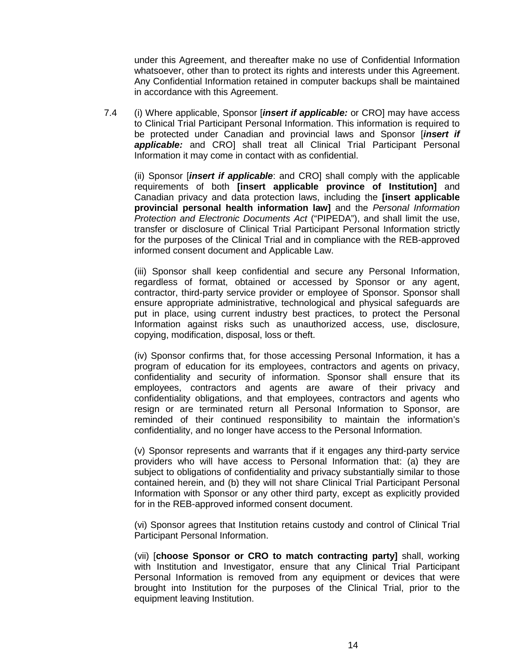under this Agreement, and thereafter make no use of Confidential Information whatsoever, other than to protect its rights and interests under this Agreement. Any Confidential Information retained in computer backups shall be maintained in accordance with this Agreement.

7.4 (i) Where applicable, Sponsor [*insert if applicable:* or CRO] may have access to Clinical Trial Participant Personal Information. This information is required to be protected under Canadian and provincial laws and Sponsor [*insert if applicable:* and CRO] shall treat all Clinical Trial Participant Personal Information it may come in contact with as confidential.

(ii) Sponsor [*insert if applicable*: and CRO] shall comply with the applicable requirements of both **[insert applicable province of Institution]** and Canadian privacy and data protection laws, including the **[insert applicable provincial personal health information law]** and the *Personal Information Protection and Electronic Documents Act* ("PIPEDA"), and shall limit the use, transfer or disclosure of Clinical Trial Participant Personal Information strictly for the purposes of the Clinical Trial and in compliance with the REB-approved informed consent document and Applicable Law.

(iii) Sponsor shall keep confidential and secure any Personal Information, regardless of format, obtained or accessed by Sponsor or any agent, contractor, third-party service provider or employee of Sponsor. Sponsor shall ensure appropriate administrative, technological and physical safeguards are put in place, using current industry best practices, to protect the Personal Information against risks such as unauthorized access, use, disclosure, copying, modification, disposal, loss or theft.

(iv) Sponsor confirms that, for those accessing Personal Information, it has a program of education for its employees, contractors and agents on privacy, confidentiality and security of information. Sponsor shall ensure that its employees, contractors and agents are aware of their privacy and confidentiality obligations, and that employees, contractors and agents who resign or are terminated return all Personal Information to Sponsor, are reminded of their continued responsibility to maintain the information's confidentiality, and no longer have access to the Personal Information.

(v) Sponsor represents and warrants that if it engages any third-party service providers who will have access to Personal Information that: (a) they are subject to obligations of confidentiality and privacy substantially similar to those contained herein, and (b) they will not share Clinical Trial Participant Personal Information with Sponsor or any other third party, except as explicitly provided for in the REB-approved informed consent document.

(vi) Sponsor agrees that Institution retains custody and control of Clinical Trial Participant Personal Information.

(vii) [**choose Sponsor or CRO to match contracting party]** shall, working with Institution and Investigator, ensure that any Clinical Trial Participant Personal Information is removed from any equipment or devices that were brought into Institution for the purposes of the Clinical Trial, prior to the equipment leaving Institution.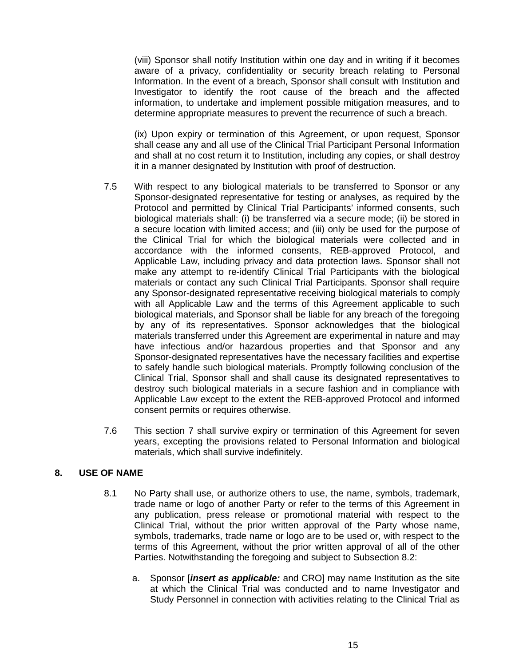(viii) Sponsor shall notify Institution within one day and in writing if it becomes aware of a privacy, confidentiality or security breach relating to Personal Information. In the event of a breach, Sponsor shall consult with Institution and Investigator to identify the root cause of the breach and the affected information, to undertake and implement possible mitigation measures, and to determine appropriate measures to prevent the recurrence of such a breach.

(ix) Upon expiry or termination of this Agreement, or upon request, Sponsor shall cease any and all use of the Clinical Trial Participant Personal Information and shall at no cost return it to Institution, including any copies, or shall destroy it in a manner designated by Institution with proof of destruction.

- 7.5 With respect to any biological materials to be transferred to Sponsor or any Sponsor-designated representative for testing or analyses, as required by the Protocol and permitted by Clinical Trial Participants' informed consents, such biological materials shall: (i) be transferred via a secure mode; (ii) be stored in a secure location with limited access; and (iii) only be used for the purpose of the Clinical Trial for which the biological materials were collected and in accordance with the informed consents, REB-approved Protocol, and Applicable Law, including privacy and data protection laws. Sponsor shall not make any attempt to re-identify Clinical Trial Participants with the biological materials or contact any such Clinical Trial Participants. Sponsor shall require any Sponsor-designated representative receiving biological materials to comply with all Applicable Law and the terms of this Agreement applicable to such biological materials, and Sponsor shall be liable for any breach of the foregoing by any of its representatives. Sponsor acknowledges that the biological materials transferred under this Agreement are experimental in nature and may have infectious and/or hazardous properties and that Sponsor and any Sponsor-designated representatives have the necessary facilities and expertise to safely handle such biological materials. Promptly following conclusion of the Clinical Trial, Sponsor shall and shall cause its designated representatives to destroy such biological materials in a secure fashion and in compliance with Applicable Law except to the extent the REB-approved Protocol and informed consent permits or requires otherwise.
- 7.6 This section 7 shall survive expiry or termination of this Agreement for seven years, excepting the provisions related to Personal Information and biological materials, which shall survive indefinitely.

#### **8. USE OF NAME**

- 8.1 No Party shall use, or authorize others to use, the name, symbols, trademark, trade name or logo of another Party or refer to the terms of this Agreement in any publication, press release or promotional material with respect to the Clinical Trial, without the prior written approval of the Party whose name, symbols, trademarks, trade name or logo are to be used or, with respect to the terms of this Agreement, without the prior written approval of all of the other Parties. Notwithstanding the foregoing and subject to Subsection 8.2:
	- a. Sponsor [*insert as applicable:* and CRO] may name Institution as the site at which the Clinical Trial was conducted and to name Investigator and Study Personnel in connection with activities relating to the Clinical Trial as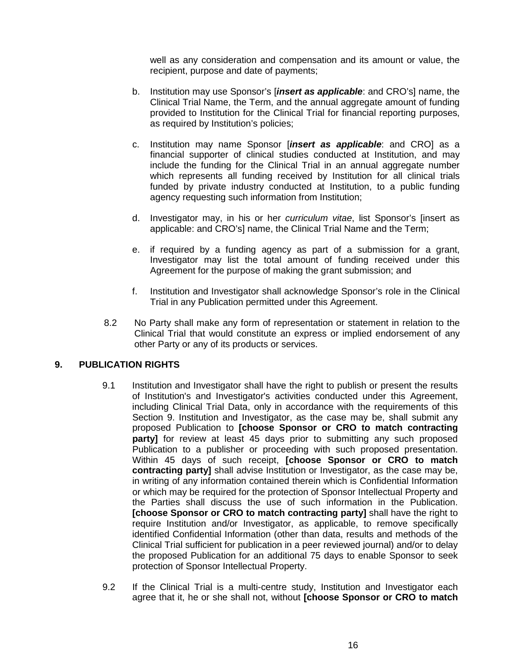well as any consideration and compensation and its amount or value, the recipient, purpose and date of payments;

- b. Institution may use Sponsor's [*insert as applicable*: and CRO's] name, the Clinical Trial Name, the Term, and the annual aggregate amount of funding provided to Institution for the Clinical Trial for financial reporting purposes, as required by Institution's policies;
- c. Institution may name Sponsor [*insert as applicable*: and CRO] as a financial supporter of clinical studies conducted at Institution, and may include the funding for the Clinical Trial in an annual aggregate number which represents all funding received by Institution for all clinical trials funded by private industry conducted at Institution, to a public funding agency requesting such information from Institution;
- d. Investigator may, in his or her *curriculum vitae*, list Sponsor's [insert as applicable: and CRO's] name, the Clinical Trial Name and the Term;
- e. if required by a funding agency as part of a submission for a grant, Investigator may list the total amount of funding received under this Agreement for the purpose of making the grant submission; and
- f. Institution and Investigator shall acknowledge Sponsor's role in the Clinical Trial in any Publication permitted under this Agreement.
- 8.2 No Party shall make any form of representation or statement in relation to the Clinical Trial that would constitute an express or implied endorsement of any other Party or any of its products or services.

#### <span id="page-15-1"></span><span id="page-15-0"></span>**9. PUBLICATION RIGHTS**

- 9.1 Institution and Investigator shall have the right to publish or present the results of Institution's and Investigator's activities conducted under this Agreement, including Clinical Trial Data, only in accordance with the requirements of this Section 9. Institution and Investigator, as the case may be, shall submit any proposed Publication to **[choose Sponsor or CRO to match contracting party]** for review at least 45 days prior to submitting any such proposed Publication to a publisher or proceeding with such proposed presentation. Within 45 days of such receipt, **[choose Sponsor or CRO to match contracting party]** shall advise Institution or Investigator, as the case may be, in writing of any information contained therein which is Confidential Information or which may be required for the protection of Sponsor Intellectual Property and the Parties shall discuss the use of such information in the Publication. **[choose Sponsor or CRO to match contracting party]** shall have the right to require Institution and/or Investigator, as applicable, to remove specifically identified Confidential Information (other than data, results and methods of the Clinical Trial sufficient for publication in a peer reviewed journal) and/or to delay the proposed Publication for an additional 75 days to enable Sponsor to seek protection of Sponsor Intellectual Property.
- 9.2 If the Clinical Trial is a multi-centre study, Institution and Investigator each agree that it, he or she shall not, without **[choose Sponsor or CRO to match**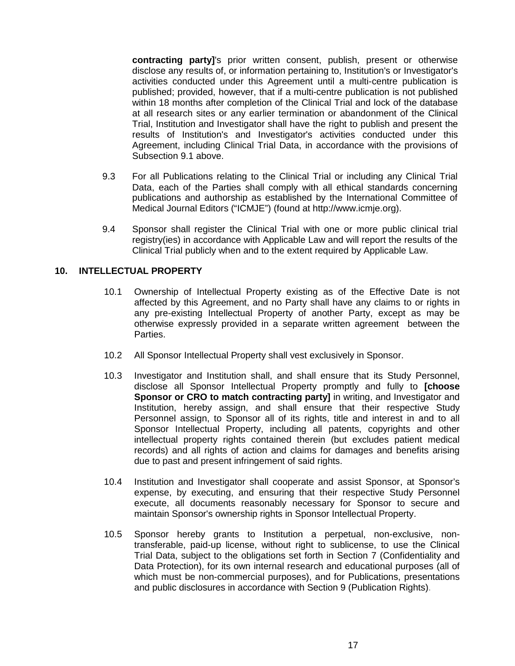**contracting party]**'s prior written consent, publish, present or otherwise disclose any results of, or information pertaining to, Institution's or Investigator's activities conducted under this Agreement until a multi-centre publication is published; provided, however, that if a multi-centre publication is not published within 18 months after completion of the Clinical Trial and lock of the database at all research sites or any earlier termination or abandonment of the Clinical Trial, Institution and Investigator shall have the right to publish and present the results of Institution's and Investigator's activities conducted under this Agreement, including Clinical Trial Data, in accordance with the provisions of Subsection [9.1](#page-15-0) above.

- 9.3 For all Publications relating to the Clinical Trial or including any Clinical Trial Data, each of the Parties shall comply with all ethical standards concerning publications and authorship as established by the International Committee of Medical Journal Editors ("ICMJE") (found at http://www.icmje.org).
- 9.4 Sponsor shall register the Clinical Trial with one or more public clinical trial registry(ies) in accordance with Applicable Law and will report the results of the Clinical Trial publicly when and to the extent required by Applicable Law.

#### **10. INTELLECTUAL PROPERTY**

- 10.1 Ownership of Intellectual Property existing as of the Effective Date is not affected by this Agreement, and no Party shall have any claims to or rights in any pre-existing Intellectual Property of another Party, except as may be otherwise expressly provided in a separate written agreement between the Parties.
- 10.2 All Sponsor Intellectual Property shall vest exclusively in Sponsor.
- 10.3 Investigator and Institution shall, and shall ensure that its Study Personnel, disclose all Sponsor Intellectual Property promptly and fully to **[choose Sponsor or CRO to match contracting party]** in writing, and Investigator and Institution, hereby assign, and shall ensure that their respective Study Personnel assign, to Sponsor all of its rights, title and interest in and to all Sponsor Intellectual Property, including all patents, copyrights and other intellectual property rights contained therein (but excludes patient medical records) and all rights of action and claims for damages and benefits arising due to past and present infringement of said rights.
- 10.4 Institution and Investigator shall cooperate and assist Sponsor, at Sponsor's expense, by executing, and ensuring that their respective Study Personnel execute, all documents reasonably necessary for Sponsor to secure and maintain Sponsor's ownership rights in Sponsor Intellectual Property.
- 10.5 Sponsor hereby grants to Institution a perpetual, non-exclusive, nontransferable, paid-up license, without right to sublicense, to use the Clinical Trial Data, subject to the obligations set forth in Section [7](#page-12-0) (Confidentiality and Data Protection), for its own internal research and educational purposes (all of which must be non-commercial purposes), and for Publications, presentations and public disclosures in accordance with Section [9](#page-15-1) (Publication Rights).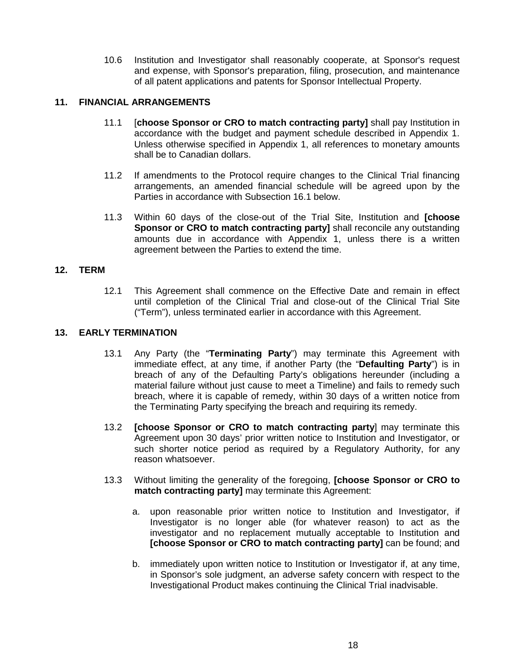10.6 Institution and Investigator shall reasonably cooperate, at Sponsor's request and expense, with Sponsor's preparation, filing, prosecution, and maintenance of all patent applications and patents for Sponsor Intellectual Property.

#### **11. FINANCIAL ARRANGEMENTS**

- 11.1 [**choose Sponsor or CRO to match contracting party]** shall pay Institution in accordance with the budget and payment schedule described in Appendix 1. Unless otherwise specified in Appendix 1, all references to monetary amounts shall be to Canadian dollars.
- 11.2 If amendments to the Protocol require changes to the Clinical Trial financing arrangements, an amended financial schedule will be agreed upon by the Parties in accordance with Subsection 16.1 below.
- 11.3 Within 60 days of the close-out of the Trial Site, Institution and **[choose Sponsor or CRO to match contracting party]** shall reconcile any outstanding amounts due in accordance with Appendix 1, unless there is a written agreement between the Parties to extend the time.

#### <span id="page-17-0"></span>**12. TERM**

12.1 This Agreement shall commence on the Effective Date and remain in effect until completion of the Clinical Trial and close-out of the Clinical Trial Site ("Term"), unless terminated earlier in accordance with this Agreement.

#### **13. EARLY TERMINATION**

- 13.1 Any Party (the "**Terminating Party**") may terminate this Agreement with immediate effect, at any time, if another Party (the "**Defaulting Party**") is in breach of any of the Defaulting Party's obligations hereunder (including a material failure without just cause to meet a Timeline) and fails to remedy such breach, where it is capable of remedy, within 30 days of a written notice from the Terminating Party specifying the breach and requiring its remedy.
- 13.2 **[choose Sponsor or CRO to match contracting party**] may terminate this Agreement upon 30 days' prior written notice to Institution and Investigator, or such shorter notice period as required by a Regulatory Authority, for any reason whatsoever.
- 13.3 Without limiting the generality of the foregoing, **[choose Sponsor or CRO to match contracting party]** may terminate this Agreement:
	- a. upon reasonable prior written notice to Institution and Investigator, if Investigator is no longer able (for whatever reason) to act as the investigator and no replacement mutually acceptable to Institution and **[choose Sponsor or CRO to match contracting party]** can be found; and
	- b. immediately upon written notice to Institution or Investigator if, at any time, in Sponsor's sole judgment, an adverse safety concern with respect to the Investigational Product makes continuing the Clinical Trial inadvisable.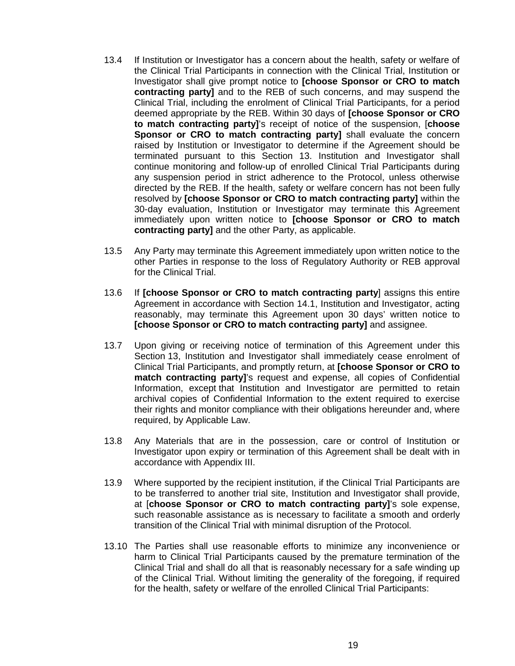- 13.4 If Institution or Investigator has a concern about the health, safety or welfare of the Clinical Trial Participants in connection with the Clinical Trial, Institution or Investigator shall give prompt notice to **[choose Sponsor or CRO to match contracting party]** and to the REB of such concerns, and may suspend the Clinical Trial, including the enrolment of Clinical Trial Participants, for a period deemed appropriate by the REB. Within 30 days of **[choose Sponsor or CRO to match contracting party]**'s receipt of notice of the suspension, [**choose Sponsor or CRO to match contracting party]** shall evaluate the concern raised by Institution or Investigator to determine if the Agreement should be terminated pursuant to this Section 13. Institution and Investigator shall continue monitoring and follow-up of enrolled Clinical Trial Participants during any suspension period in strict adherence to the Protocol, unless otherwise directed by the REB. If the health, safety or welfare concern has not been fully resolved by **[choose Sponsor or CRO to match contracting party]** within the 30-day evaluation, Institution or Investigator may terminate this Agreement immediately upon written notice to **[choose Sponsor or CRO to match contracting party]** and the other Party, as applicable.
- 13.5 Any Party may terminate this Agreement immediately upon written notice to the other Parties in response to the loss of Regulatory Authority or REB approval for the Clinical Trial.
- 13.6 If **[choose Sponsor or CRO to match contracting party**] assigns this entire Agreement in accordance with Section 14.1, Institution and Investigator, acting reasonably, may terminate this Agreement upon 30 days' written notice to **[choose Sponsor or CRO to match contracting party]** and assignee.
- 13.7 Upon giving or receiving notice of termination of this Agreement under this Section 13, Institution and Investigator shall immediately cease enrolment of Clinical Trial Participants, and promptly return, at **[choose Sponsor or CRO to match contracting party]**'s request and expense, all copies of Confidential Information, except that Institution and Investigator are permitted to retain archival copies of Confidential Information to the extent required to exercise their rights and monitor compliance with their obligations hereunder and, where required, by Applicable Law.
- 13.8 Any Materials that are in the possession, care or control of Institution or Investigator upon expiry or termination of this Agreement shall be dealt with in accordance with Appendix III.
- 13.9 Where supported by the recipient institution, if the Clinical Trial Participants are to be transferred to another trial site, Institution and Investigator shall provide, at [**choose Sponsor or CRO to match contracting party]**'s sole expense, such reasonable assistance as is necessary to facilitate a smooth and orderly transition of the Clinical Trial with minimal disruption of the Protocol.
- 13.10 The Parties shall use reasonable efforts to minimize any inconvenience or harm to Clinical Trial Participants caused by the premature termination of the Clinical Trial and shall do all that is reasonably necessary for a safe winding up of the Clinical Trial. Without limiting the generality of the foregoing, if required for the health, safety or welfare of the enrolled Clinical Trial Participants: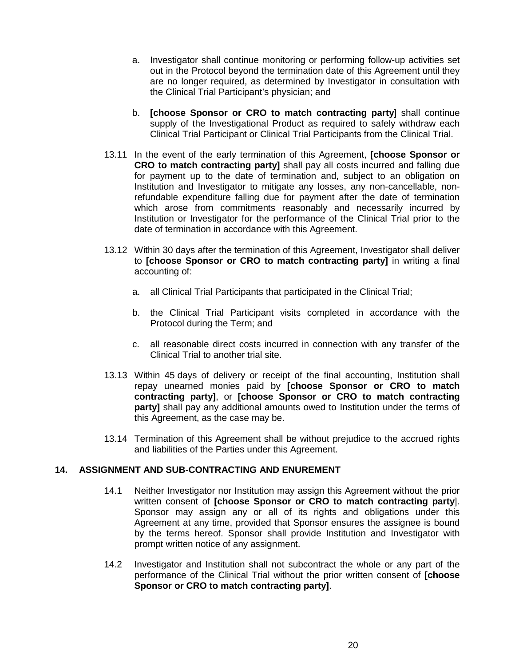- a. Investigator shall continue monitoring or performing follow-up activities set out in the Protocol beyond the termination date of this Agreement until they are no longer required, as determined by Investigator in consultation with the Clinical Trial Participant's physician; and
- b. **[choose Sponsor or CRO to match contracting party**] shall continue supply of the Investigational Product as required to safely withdraw each Clinical Trial Participant or Clinical Trial Participants from the Clinical Trial.
- 13.11 In the event of the early termination of this Agreement, **[choose Sponsor or CRO to match contracting party]** shall pay all costs incurred and falling due for payment up to the date of termination and, subject to an obligation on Institution and Investigator to mitigate any losses, any non-cancellable, nonrefundable expenditure falling due for payment after the date of termination which arose from commitments reasonably and necessarily incurred by Institution or Investigator for the performance of the Clinical Trial prior to the date of termination in accordance with this Agreement.
- 13.12 Within 30 days after the termination of this Agreement, Investigator shall deliver to **[choose Sponsor or CRO to match contracting party]** in writing a final accounting of:
	- a. all Clinical Trial Participants that participated in the Clinical Trial;
	- b. the Clinical Trial Participant visits completed in accordance with the Protocol during the Term; and
	- c. all reasonable direct costs incurred in connection with any transfer of the Clinical Trial to another trial site.
- 13.13 Within 45 days of delivery or receipt of the final accounting, Institution shall repay unearned monies paid by **[choose Sponsor or CRO to match contracting party]**, or **[choose Sponsor or CRO to match contracting party]** shall pay any additional amounts owed to Institution under the terms of this Agreement, as the case may be.
- 13.14 Termination of this Agreement shall be without prejudice to the accrued rights and liabilities of the Parties under this Agreement.

#### **14. ASSIGNMENT AND SUB-CONTRACTING AND ENUREMENT**

- 14.1 Neither Investigator nor Institution may assign this Agreement without the prior written consent of **[choose Sponsor or CRO to match contracting party**]. Sponsor may assign any or all of its rights and obligations under this Agreement at any time, provided that Sponsor ensures the assignee is bound by the terms hereof. Sponsor shall provide Institution and Investigator with prompt written notice of any assignment.
- 14.2 Investigator and Institution shall not subcontract the whole or any part of the performance of the Clinical Trial without the prior written consent of **[choose Sponsor or CRO to match contracting party]**.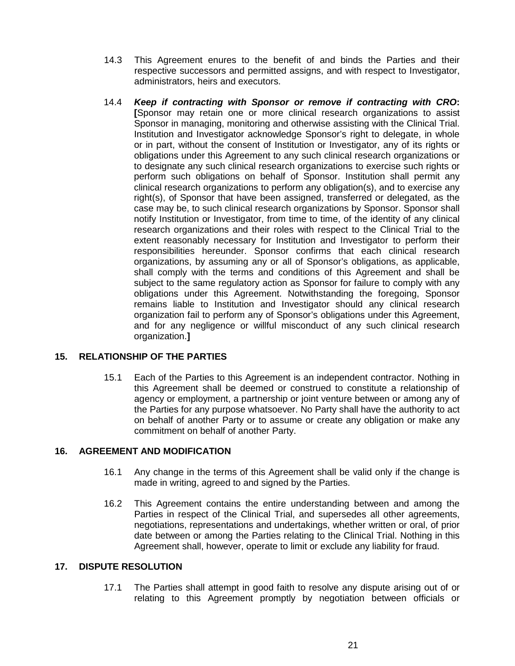- 14.3 This Agreement enures to the benefit of and binds the Parties and their respective successors and permitted assigns, and with respect to Investigator, administrators, heirs and executors.
- 14.4 *Keep if contracting with Sponsor or remove if contracting with CRO***: [**Sponsor may retain one or more clinical research organizations to assist Sponsor in managing, monitoring and otherwise assisting with the Clinical Trial. Institution and Investigator acknowledge Sponsor's right to delegate, in whole or in part, without the consent of Institution or Investigator, any of its rights or obligations under this Agreement to any such clinical research organizations or to designate any such clinical research organizations to exercise such rights or perform such obligations on behalf of Sponsor. Institution shall permit any clinical research organizations to perform any obligation(s), and to exercise any right(s), of Sponsor that have been assigned, transferred or delegated, as the case may be, to such clinical research organizations by Sponsor. Sponsor shall notify Institution or Investigator, from time to time, of the identity of any clinical research organizations and their roles with respect to the Clinical Trial to the extent reasonably necessary for Institution and Investigator to perform their responsibilities hereunder. Sponsor confirms that each clinical research organizations, by assuming any or all of Sponsor's obligations, as applicable, shall comply with the terms and conditions of this Agreement and shall be subject to the same regulatory action as Sponsor for failure to comply with any obligations under this Agreement. Notwithstanding the foregoing, Sponsor remains liable to Institution and Investigator should any clinical research organization fail to perform any of Sponsor's obligations under this Agreement, and for any negligence or willful misconduct of any such clinical research organization.**]**

## **15. RELATIONSHIP OF THE PARTIES**

15.1 Each of the Parties to this Agreement is an independent contractor. Nothing in this Agreement shall be deemed or construed to constitute a relationship of agency or employment, a partnership or joint venture between or among any of the Parties for any purpose whatsoever. No Party shall have the authority to act on behalf of another Party or to assume or create any obligation or make any commitment on behalf of another Party.

#### <span id="page-20-0"></span>**16. AGREEMENT AND MODIFICATION**

- 16.1 Any change in the terms of this Agreement shall be valid only if the change is made in writing, agreed to and signed by the Parties.
- 16.2 This Agreement contains the entire understanding between and among the Parties in respect of the Clinical Trial, and supersedes all other agreements, negotiations, representations and undertakings, whether written or oral, of prior date between or among the Parties relating to the Clinical Trial. Nothing in this Agreement shall, however, operate to limit or exclude any liability for fraud.

#### **17. DISPUTE RESOLUTION**

17.1 The Parties shall attempt in good faith to resolve any dispute arising out of or relating to this Agreement promptly by negotiation between officials or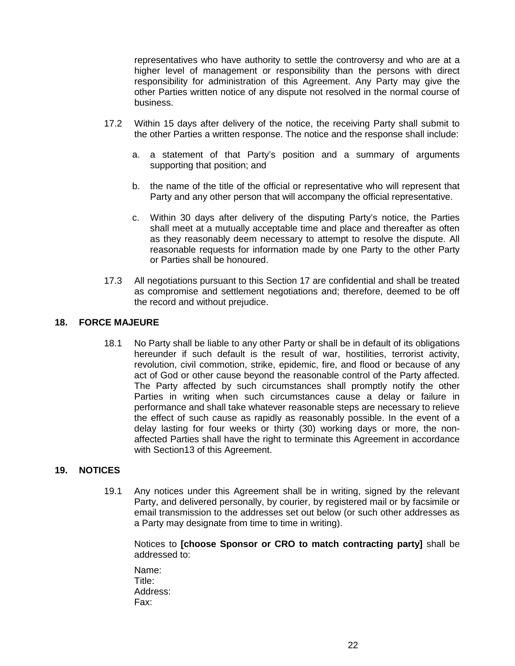representatives who have authority to settle the controversy and who are at a higher level of management or responsibility than the persons with direct responsibility for administration of this Agreement. Any Party may give the other Parties written notice of any dispute not resolved in the normal course of business.

- 17.2 Within 15 days after delivery of the notice, the receiving Party shall submit to the other Parties a written response. The notice and the response shall include:
	- a. a statement of that Party's position and a summary of arguments supporting that position; and
	- b. the name of the title of the official or representative who will represent that Party and any other person that will accompany the official representative.
	- c. Within 30 days after delivery of the disputing Party's notice, the Parties shall meet at a mutually acceptable time and place and thereafter as often as they reasonably deem necessary to attempt to resolve the dispute. All reasonable requests for information made by one Party to the other Party or Parties shall be honoured.
- 17.3 All negotiations pursuant to this Section 17 are confidential and shall be treated as compromise and settlement negotiations and; therefore, deemed to be off the record and without prejudice.

#### **18. FORCE MAJEURE**

18.1 No Party shall be liable to any other Party or shall be in default of its obligations hereunder if such default is the result of war, hostilities, terrorist activity, revolution, civil commotion, strike, epidemic, fire, and flood or because of any act of God or other cause beyond the reasonable control of the Party affected. The Party affected by such circumstances shall promptly notify the other Parties in writing when such circumstances cause a delay or failure in performance and shall take whatever reasonable steps are necessary to relieve the effect of such cause as rapidly as reasonably possible. In the event of a delay lasting for four weeks or thirty (30) working days or more, the nonaffected Parties shall have the right to terminate this Agreement in accordance with Section13 of this Agreement.

#### **19. NOTICES**

19.1 Any notices under this Agreement shall be in writing, signed by the relevant Party, and delivered personally, by courier, by registered mail or by facsimile or email transmission to the addresses set out below (or such other addresses as a Party may designate from time to time in writing).

Notices to **[choose Sponsor or CRO to match contracting party]** shall be addressed to:

Name: Title: Address: Fax: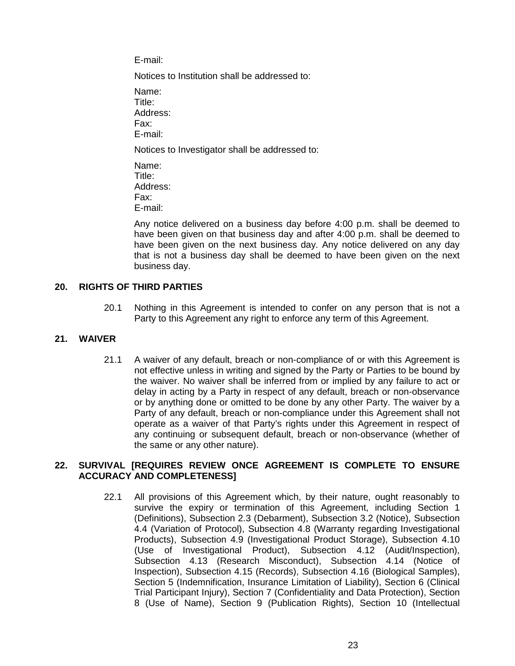E-mail:

Notices to Institution shall be addressed to:

Name: Title: Address: Fax: E-mail:

Notices to Investigator shall be addressed to:

Name: Title: Address: Fax: E-mail:

Any notice delivered on a business day before 4:00 p.m. shall be deemed to have been given on that business day and after 4:00 p.m. shall be deemed to have been given on the next business day. Any notice delivered on any day that is not a business day shall be deemed to have been given on the next business day.

## **20. RIGHTS OF THIRD PARTIES**

20.1 Nothing in this Agreement is intended to confer on any person that is not a Party to this Agreement any right to enforce any term of this Agreement.

#### **21. WAIVER**

21.1 A waiver of any default, breach or non-compliance of or with this Agreement is not effective unless in writing and signed by the Party or Parties to be bound by the waiver. No waiver shall be inferred from or implied by any failure to act or delay in acting by a Party in respect of any default, breach or non-observance or by anything done or omitted to be done by any other Party. The waiver by a Party of any default, breach or non-compliance under this Agreement shall not operate as a waiver of that Party's rights under this Agreement in respect of any continuing or subsequent default, breach or non-observance (whether of the same or any other nature).

#### **22. SURVIVAL [REQUIRES REVIEW ONCE AGREEMENT IS COMPLETE TO ENSURE ACCURACY AND COMPLETENESS]**

22.1 All provisions of this Agreement which, by their nature, ought reasonably to survive the expiry or termination of this Agreement, including Section 1 (Definitions), Subsection 2.3 (Debarment), Subsection 3.2 (Notice), Subsection 4.4 (Variation of Protocol), Subsection 4.8 (Warranty regarding Investigational Products), Subsection 4.9 (Investigational Product Storage), Subsection 4.10 (Use of Investigational Product), Subsection 4.12 (Audit/Inspection), Subsection 4.13 (Research Misconduct), Subsection 4.14 (Notice of Inspection), Subsection 4.15 (Records), Subsection 4.16 (Biological Samples), Section 5 (Indemnification, Insurance Limitation of Liability), Section 6 (Clinical Trial Participant Injury), Section 7 (Confidentiality and Data Protection), Section 8 (Use of Name), Section 9 (Publication Rights), Section 10 (Intellectual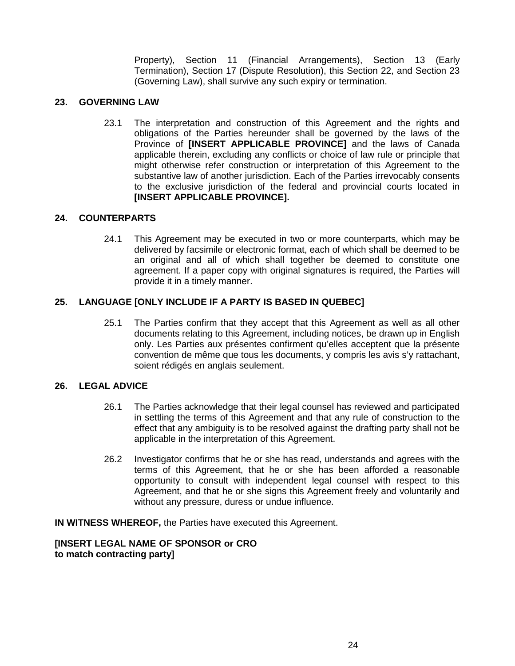Property), Section 11 (Financial Arrangements), Section 13 (Early Termination), Section 17 (Dispute Resolution), this Section 22, and Section 23 (Governing Law), shall survive any such expiry or termination.

#### **23. GOVERNING LAW**

23.1 The interpretation and construction of this Agreement and the rights and obligations of the Parties hereunder shall be governed by the laws of the Province of **[INSERT APPLICABLE PROVINCE]** and the laws of Canada applicable therein, excluding any conflicts or choice of law rule or principle that might otherwise refer construction or interpretation of this Agreement to the substantive law of another jurisdiction. Each of the Parties irrevocably consents to the exclusive jurisdiction of the federal and provincial courts located in **[INSERT APPLICABLE PROVINCE].**

## **24. COUNTERPARTS**

24.1 This Agreement may be executed in two or more counterparts, which may be delivered by facsimile or electronic format, each of which shall be deemed to be an original and all of which shall together be deemed to constitute one agreement. If a paper copy with original signatures is required, the Parties will provide it in a timely manner.

## **25. LANGUAGE [ONLY INCLUDE IF A PARTY IS BASED IN QUEBEC]**

25.1 The Parties confirm that they accept that this Agreement as well as all other documents relating to this Agreement, including notices, be drawn up in English only. Les Parties aux présentes confirment qu'elles acceptent que la présente convention de même que tous les documents, y compris les avis s'y rattachant, soient rédigés en anglais seulement.

#### **26. LEGAL ADVICE**

- 26.1 The Parties acknowledge that their legal counsel has reviewed and participated in settling the terms of this Agreement and that any rule of construction to the effect that any ambiguity is to be resolved against the drafting party shall not be applicable in the interpretation of this Agreement.
- 26.2 Investigator confirms that he or she has read, understands and agrees with the terms of this Agreement, that he or she has been afforded a reasonable opportunity to consult with independent legal counsel with respect to this Agreement, and that he or she signs this Agreement freely and voluntarily and without any pressure, duress or undue influence.

**IN WITNESS WHEREOF,** the Parties have executed this Agreement.

**[INSERT LEGAL NAME OF SPONSOR or CRO to match contracting party]**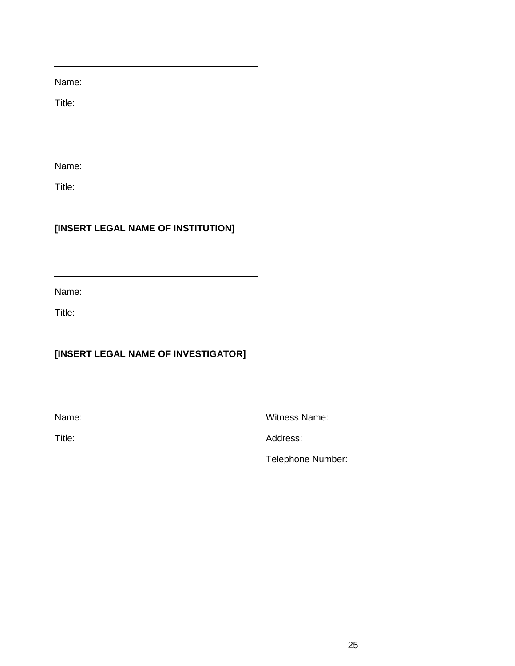Name:

Title:

Name:

Title:

# **[INSERT LEGAL NAME OF INSTITUTION]**

Name:

Title:

# **[INSERT LEGAL NAME OF INVESTIGATOR]**

Name:

Witness Name:

Title:

Address:

Telephone Number: